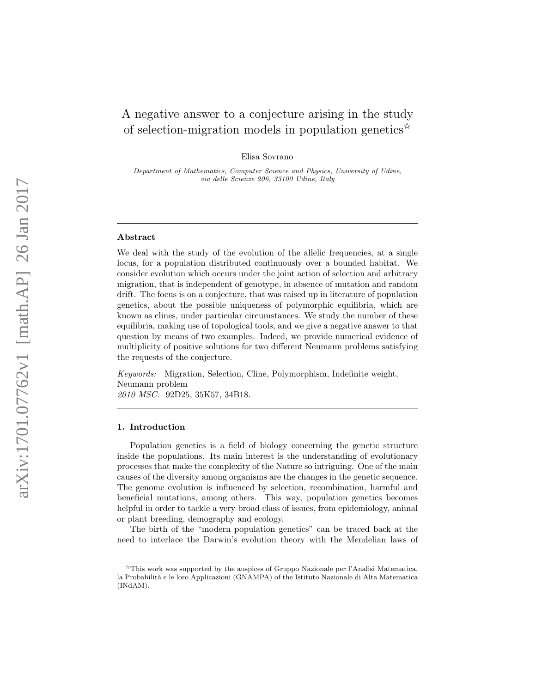# A negative answer to a conjecture arising in the study of selection-migration models in population genetics<sup>\*</sup>

Elisa Sovrano

Department of Mathematics, Computer Science and Physics, University of Udine, via delle Scienze 206, 33100 Udine, Italy

#### Abstract

We deal with the study of the evolution of the allelic frequencies, at a single locus, for a population distributed continuously over a bounded habitat. We consider evolution which occurs under the joint action of selection and arbitrary migration, that is independent of genotype, in absence of mutation and random drift. The focus is on a conjecture, that was raised up in literature of population genetics, about the possible uniqueness of polymorphic equilibria, which are known as clines, under particular circumstances. We study the number of these equilibria, making use of topological tools, and we give a negative answer to that question by means of two examples. Indeed, we provide numerical evidence of multiplicity of positive solutions for two different Neumann problems satisfying the requests of the conjecture.

Keywords: Migration, Selection, Cline, Polymorphism, Indefinite weight, Neumann problem 2010 MSC: 92D25, 35K57, 34B18.

# 1. Introduction

Population genetics is a field of biology concerning the genetic structure inside the populations. Its main interest is the understanding of evolutionary processes that make the complexity of the Nature so intriguing. One of the main causes of the diversity among organisms are the changes in the genetic sequence. The genome evolution is influenced by selection, recombination, harmful and beneficial mutations, among others. This way, population genetics becomes helpful in order to tackle a very broad class of issues, from epidemiology, animal or plant breeding, demography and ecology.

The birth of the "modern population genetics" can be traced back at the need to interlace the Darwin's evolution theory with the Mendelian laws of

<sup>✩</sup>This work was supported by the auspices of Gruppo Nazionale per l'Analisi Matematica, la Probabilità e le loro Applicazioni (GNAMPA) of the Istituto Nazionale di Alta Matematica (INdAM).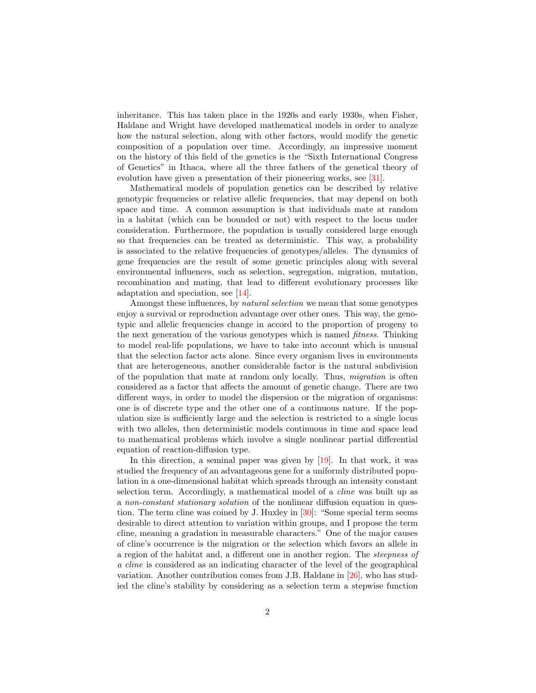inheritance. This has taken place in the 1920s and early 1930s, when Fisher, Haldane and Wright have developed mathematical models in order to analyze how the natural selection, along with other factors, would modify the genetic composition of a population over time. Accordingly, an impressive moment on the history of this field of the genetics is the "Sixth International Congress of Genetics" in Ithaca, where all the three fathers of the genetical theory of evolution have given a presentation of their pioneering works, see [\[31\]](#page-16-0).

Mathematical models of population genetics can be described by relative genotypic frequencies or relative allelic frequencies, that may depend on both space and time. A common assumption is that individuals mate at random in a habitat (which can be bounded or not) with respect to the locus under consideration. Furthermore, the population is usually considered large enough so that frequencies can be treated as deterministic. This way, a probability is associated to the relative frequencies of genotypes/alleles. The dynamics of gene frequencies are the result of some genetic principles along with several environmental influences, such as selection, segregation, migration, mutation, recombination and mating, that lead to different evolutionary processes like adaptation and speciation, see [\[14\]](#page-15-0).

Amongst these influences, by natural selection we mean that some genotypes enjoy a survival or reproduction advantage over other ones. This way, the genotypic and allelic frequencies change in accord to the proportion of progeny to the next generation of the various genotypes which is named fitness. Thinking to model real-life populations, we have to take into account which is unusual that the selection factor acts alone. Since every organism lives in environments that are heterogeneous, another considerable factor is the natural subdivision of the population that mate at random only locally. Thus, migration is often considered as a factor that affects the amount of genetic change. There are two different ways, in order to model the dispersion or the migration of organisms: one is of discrete type and the other one of a continuous nature. If the population size is sufficiently large and the selection is restricted to a single locus with two alleles, then deterministic models continuous in time and space lead to mathematical problems which involve a single nonlinear partial differential equation of reaction-diffusion type.

In this direction, a seminal paper was given by  $[19]$ . In that work, it was studied the frequency of an advantageous gene for a uniformly distributed population in a one-dimensional habitat which spreads through an intensity constant selection term. Accordingly, a mathematical model of a cline was built up as a non-constant stationary solution of the nonlinear diffusion equation in question. The term cline was coined by J. Huxley in [\[30\]](#page-16-1): "Some special term seems desirable to direct attention to variation within groups, and I propose the term cline, meaning a gradation in measurable characters." One of the major causes of cline's occurrence is the migration or the selection which favors an allele in a region of the habitat and, a different one in another region. The steepness of a cline is considered as an indicating character of the level of the geographical variation. Another contribution comes from J.B. Haldane in [\[26\]](#page-16-2), who has studied the cline's stability by considering as a selection term a stepwise function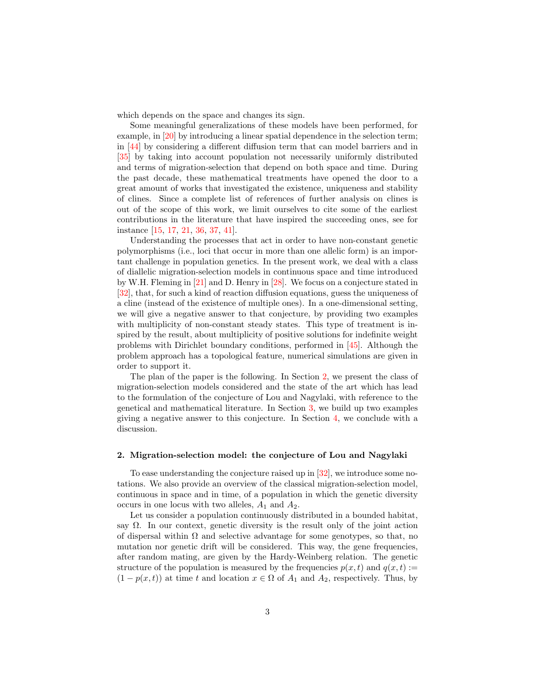which depends on the space and changes its sign.

Some meaningful generalizations of these models have been performed, for example, in [\[20\]](#page-16-3) by introducing a linear spatial dependence in the selection term; in [\[44\]](#page-17-0) by considering a different diffusion term that can model barriers and in [\[35\]](#page-16-4) by taking into account population not necessarily uniformly distributed and terms of migration-selection that depend on both space and time. During the past decade, these mathematical treatments have opened the door to a great amount of works that investigated the existence, uniqueness and stability of clines. Since a complete list of references of further analysis on clines is out of the scope of this work, we limit ourselves to cite some of the earliest contributions in the literature that have inspired the succeeding ones, see for instance [\[15,](#page-15-2) [17,](#page-15-3) [21,](#page-16-5) [36,](#page-17-1) [37,](#page-17-2) [41\]](#page-17-3).

Understanding the processes that act in order to have non-constant genetic polymorphisms (i.e., loci that occur in more than one allelic form) is an important challenge in population genetics. In the present work, we deal with a class of diallelic migration-selection models in continuous space and time introduced by W.H. Fleming in [\[21\]](#page-16-5) and D. Henry in [\[28\]](#page-16-6). We focus on a conjecture stated in [\[32\]](#page-16-7), that, for such a kind of reaction diffusion equations, guess the uniqueness of a cline (instead of the existence of multiple ones). In a one-dimensional setting, we will give a negative answer to that conjecture, by providing two examples with multiplicity of non-constant steady states. This type of treatment is inspired by the result, about multiplicity of positive solutions for indefinite weight problems with Dirichlet boundary conditions, performed in [\[45\]](#page-17-4). Although the problem approach has a topological feature, numerical simulations are given in order to support it.

The plan of the paper is the following. In Section [2,](#page-2-0) we present the class of migration-selection models considered and the state of the art which has lead to the formulation of the conjecture of Lou and Nagylaki, with reference to the genetical and mathematical literature. In Section [3,](#page-6-0) we build up two examples giving a negative answer to this conjecture. In Section [4,](#page-12-0) we conclude with a discussion.

## <span id="page-2-0"></span>2. Migration-selection model: the conjecture of Lou and Nagylaki

To ease understanding the conjecture raised up in [\[32\]](#page-16-7), we introduce some notations. We also provide an overview of the classical migration-selection model, continuous in space and in time, of a population in which the genetic diversity occurs in one locus with two alleles,  $A_1$  and  $A_2$ .

Let us consider a population continuously distributed in a bounded habitat, say  $\Omega$ . In our context, genetic diversity is the result only of the joint action of dispersal within  $\Omega$  and selective advantage for some genotypes, so that, no mutation nor genetic drift will be considered. This way, the gene frequencies, after random mating, are given by the Hardy-Weinberg relation. The genetic structure of the population is measured by the frequencies  $p(x, t)$  and  $q(x, t) :=$  $(1 - p(x, t))$  at time t and location  $x \in \Omega$  of  $A_1$  and  $A_2$ , respectively. Thus, by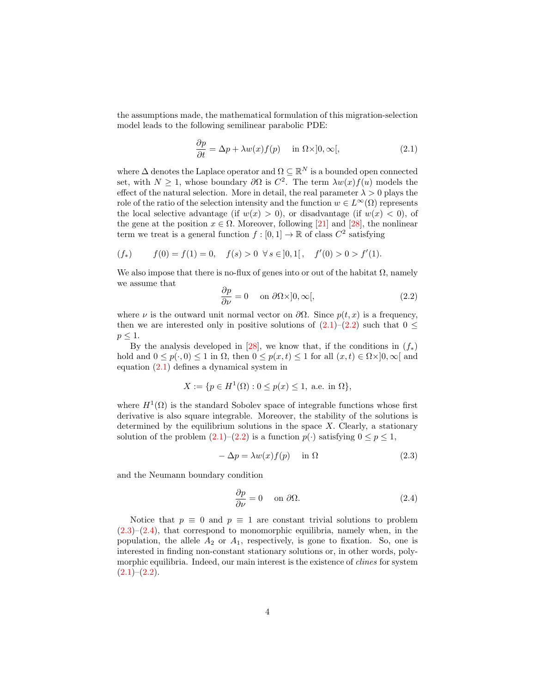the assumptions made, the mathematical formulation of this migration-selection model leads to the following semilinear parabolic PDE:

<span id="page-3-0"></span>
$$
\frac{\partial p}{\partial t} = \Delta p + \lambda w(x) f(p) \quad \text{in } \Omega \times ]0, \infty[,
$$
 (2.1)

where  $\Delta$  denotes the Laplace operator and  $\Omega \subseteq \mathbb{R}^N$  is a bounded open connected set, with  $N \geq 1$ , whose boundary  $\partial \Omega$  is  $C^2$ . The term  $\lambda w(x) f(u)$  models the effect of the natural selection. More in detail, the real parameter  $\lambda > 0$  plays the role of the ratio of the selection intensity and the function  $w \in L^{\infty}(\Omega)$  represents the local selective advantage (if  $w(x) > 0$ ), or disadvantage (if  $w(x) < 0$ ), of the gene at the position  $x \in \Omega$ . Moreover, following [\[21\]](#page-16-5) and [\[28\]](#page-16-6), the nonlinear term we treat is a general function  $f : [0,1] \to \mathbb{R}$  of class  $C^2$  satisfying

$$
(f_*) \t f(0) = f(1) = 0, \t f(s) > 0 \forall s \in ]0,1[ , \t f'(0) > 0 > f'(1).
$$

We also impose that there is no-flux of genes into or out of the habitat  $\Omega$ , namely we assume that

<span id="page-3-1"></span>
$$
\frac{\partial p}{\partial \nu} = 0 \quad \text{ on } \partial \Omega \times ]0, \infty[, \tag{2.2}
$$

where  $\nu$  is the outward unit normal vector on  $\partial\Omega$ . Since  $p(t, x)$  is a frequency, then we are interested only in positive solutions of  $(2.1)$ – $(2.2)$  such that  $0 \le$  $p \leq 1$ .

By the analysis developed in [\[28\]](#page-16-6), we know that, if the conditions in  $(f_*)$ hold and  $0 \le p(\cdot, 0) \le 1$  in  $\Omega$ , then  $0 \le p(x, t) \le 1$  for all  $(x, t) \in \Omega \times ]0, \infty[$  and equation [\(2.1\)](#page-3-0) defines a dynamical system in

$$
X := \{ p \in H^{1}(\Omega) : 0 \le p(x) \le 1, \text{ a.e. in } \Omega \},\
$$

where  $H^1(\Omega)$  is the standard Sobolev space of integrable functions whose first derivative is also square integrable. Moreover, the stability of the solutions is determined by the equilibrium solutions in the space  $X$ . Clearly, a stationary solution of the problem  $(2.1)$ – $(2.2)$  is a function  $p(\cdot)$  satisfying  $0 \le p \le 1$ ,

<span id="page-3-2"></span>
$$
-\Delta p = \lambda w(x)f(p) \quad \text{in } \Omega \tag{2.3}
$$

and the Neumann boundary condition

<span id="page-3-3"></span>
$$
\frac{\partial p}{\partial \nu} = 0 \quad \text{on } \partial \Omega. \tag{2.4}
$$

Notice that  $p \equiv 0$  and  $p \equiv 1$  are constant trivial solutions to problem  $(2.3)$ – $(2.4)$ , that correspond to monomorphic equilibria, namely when, in the population, the allele  $A_2$  or  $A_1$ , respectively, is gone to fixation. So, one is interested in finding non-constant stationary solutions or, in other words, polymorphic equilibria. Indeed, our main interest is the existence of clines for system  $(2.1)–(2.2)$  $(2.1)–(2.2)$  $(2.1)–(2.2)$ .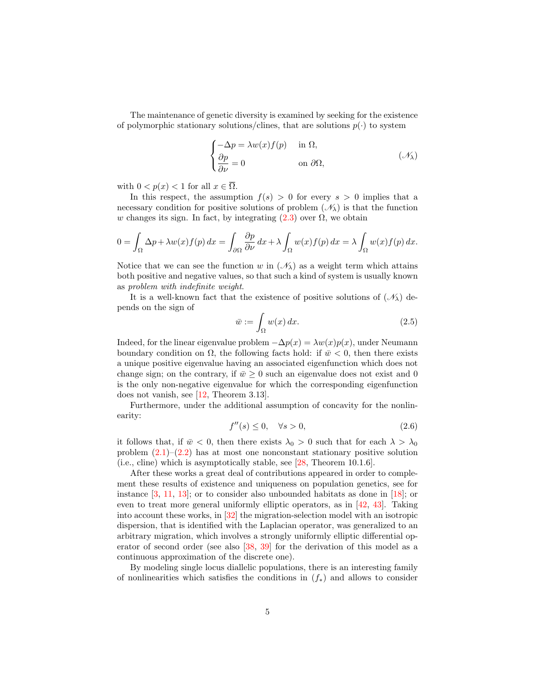The maintenance of genetic diversity is examined by seeking for the existence of polymorphic stationary solutions/clines, that are solutions  $p(\cdot)$  to system

$$
\begin{cases}\n-\Delta p = \lambda w(x)f(p) & \text{in } \Omega, \\
\frac{\partial p}{\partial \nu} = 0 & \text{on } \partial \Omega,\n\end{cases} \tag{1.1}
$$

with  $0 < p(x) < 1$  for all  $x \in \overline{\Omega}$ .

In this respect, the assumption  $f(s) > 0$  for every  $s > 0$  implies that a necessary condition for positive solutions of problem  $(\mathcal{N}_{\lambda})$  is that the function w changes its sign. In fact, by integrating  $(2.3)$  over  $\Omega$ , we obtain

$$
0 = \int_{\Omega} \Delta p + \lambda w(x) f(p) dx = \int_{\partial \Omega} \frac{\partial p}{\partial \nu} dx + \lambda \int_{\Omega} w(x) f(p) dx = \lambda \int_{\Omega} w(x) f(p) dx.
$$

Notice that we can see the function w in  $(\mathcal{N}_\lambda)$  as a weight term which attains both positive and negative values, so that such a kind of system is usually known as problem with indefinite weight.

It is a well-known fact that the existence of positive solutions of  $(\mathscr{N}_{\lambda})$  depends on the sign of

<span id="page-4-1"></span>
$$
\bar{w} := \int_{\Omega} w(x) \, dx. \tag{2.5}
$$

Indeed, for the linear eigenvalue problem  $-\Delta p(x) = \lambda w(x)p(x)$ , under Neumann boundary condition on  $\Omega$ , the following facts hold: if  $\bar{w}$  < 0, then there exists a unique positive eigenvalue having an associated eigenfunction which does not change sign; on the contrary, if  $\bar{w} > 0$  such an eigenvalue does not exist and 0 is the only non-negative eigenvalue for which the corresponding eigenfunction does not vanish, see [\[12,](#page-15-4) Theorem 3.13].

Furthermore, under the additional assumption of concavity for the nonlinearity:

<span id="page-4-0"></span>
$$
f''(s) \le 0, \quad \forall s > 0,\tag{2.6}
$$

it follows that, if  $\bar{w}$  < 0, then there exists  $\lambda_0 > 0$  such that for each  $\lambda > \lambda_0$ problem  $(2.1)$ – $(2.2)$  has at most one nonconstant stationary positive solution (i.e., cline) which is asymptotically stable, see [\[28,](#page-16-6) Theorem 10.1.6].

After these works a great deal of contributions appeared in order to complement these results of existence and uniqueness on population genetics, see for instance  $[3, 11, 13]$  $[3, 11, 13]$  $[3, 11, 13]$  $[3, 11, 13]$ ; or to consider also unbounded habitats as done in  $[18]$ ; or even to treat more general uniformly elliptic operators, as in [\[42,](#page-17-5) [43\]](#page-17-6). Taking into account these works, in [\[32\]](#page-16-7) the migration-selection model with an isotropic dispersion, that is identified with the Laplacian operator, was generalized to an arbitrary migration, which involves a strongly uniformly elliptic differential operator of second order (see also [\[38,](#page-17-7) [39\]](#page-17-8) for the derivation of this model as a continuous approximation of the discrete one).

By modeling single locus diallelic populations, there is an interesting family of nonlinearities which satisfies the conditions in  $(f_*)$  and allows to consider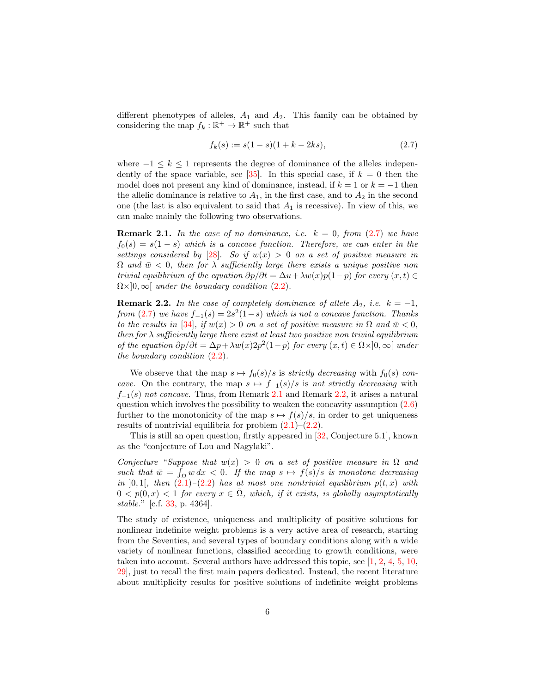different phenotypes of alleles,  $A_1$  and  $A_2$ . This family can be obtained by considering the map  $f_k : \mathbb{R}^+ \to \mathbb{R}^+$  such that

<span id="page-5-0"></span>
$$
f_k(s) := s(1 - s)(1 + k - 2ks),
$$
\n(2.7)

where  $-1 \leq k \leq 1$  represents the degree of dominance of the alleles indepen-dently of the space variable, see [\[35\]](#page-16-4). In this special case, if  $k = 0$  then the model does not present any kind of dominance, instead, if  $k = 1$  or  $k = -1$  then the allelic dominance is relative to  $A_1$ , in the first case, and to  $A_2$  in the second one (the last is also equivalent to said that  $A_1$  is recessive). In view of this, we can make mainly the following two observations.

<span id="page-5-1"></span>**Remark 2.1.** In the case of no dominance, i.e.  $k = 0$ , from [\(2.7\)](#page-5-0) we have  $f_0(s) = s(1-s)$  which is a concave function. Therefore, we can enter in the settings considered by [\[28\]](#page-16-6). So if  $w(x) > 0$  on a set of positive measure in  $\Omega$  and  $\bar{w}$  < 0, then for  $\lambda$  sufficiently large there exists a unique positive non trivial equilibrium of the equation  $\partial p/\partial t = \Delta u + \lambda w(x)p(1-p)$  for every  $(x,t) \in$  $\Omega \times ]0,\infty[$  under the boundary condition [\(2.2\)](#page-3-1).

<span id="page-5-2"></span>**Remark 2.2.** In the case of completely dominance of allele  $A_2$ , i.e.  $k = -1$ , from [\(2.7\)](#page-5-0) we have  $f_{-1}(s) = 2s^2(1-s)$  which is not a concave function. Thanks to the results in [\[34\]](#page-16-8), if  $w(x) > 0$  on a set of positive measure in  $\Omega$  and  $\bar{w} < 0$ , then for  $\lambda$  sufficiently large there exist at least two positive non trivial equilibrium of the equation  $\partial p/\partial t = \Delta p + \lambda w(x) 2p^2(1-p)$  for every  $(x, t) \in \Omega \times ]0, \infty[$  under the boundary condition  $(2.2)$ .

We observe that the map  $s \mapsto f_0(s)/s$  is strictly decreasing with  $f_0(s)$  concave. On the contrary, the map  $s \mapsto f_{-1}(s)/s$  is not strictly decreasing with  $f_{-1}(s)$  not concave. Thus, from Remark [2.1](#page-5-1) and Remark [2.2,](#page-5-2) it arises a natural question which involves the possibility to weaken the concavity assumption  $(2.6)$ further to the monotonicity of the map  $s \mapsto f(s)/s$ , in order to get uniqueness results of nontrivial equilibria for problem  $(2.1)$ – $(2.2)$ .

This is still an open question, firstly appeared in [\[32,](#page-16-7) Conjecture 5.1], known as the "conjecture of Lou and Nagylaki".

Conjecture "Suppose that  $w(x) > 0$  on a set of positive measure in  $\Omega$  and such that  $\bar{w} = \int_{\Omega} w \, dx < 0$ . If the map  $s \mapsto f(s)/s$  is monotone decreasing in [0, 1], then  $(2.1)$ – $(2.2)$  has at most one nontrivial equilibrium  $p(t, x)$  with  $0 < p(0, x) < 1$  for every  $x \in \overline{\Omega}$ , which, if it exists, is globally asymptotically stable." [c.f. [33,](#page-16-9) p. 4364].

The study of existence, uniqueness and multiplicity of positive solutions for nonlinear indefinite weight problems is a very active area of research, starting from the Seventies, and several types of boundary conditions along with a wide variety of nonlinear functions, classified according to growth conditions, were taken into account. Several authors have addressed this topic, see [\[1,](#page-14-1) [2,](#page-14-2) [4,](#page-14-3) [5,](#page-14-4) [10,](#page-15-8) [29\]](#page-16-10), just to recall the first main papers dedicated. Instead, the recent literature about multiplicity results for positive solutions of indefinite weight problems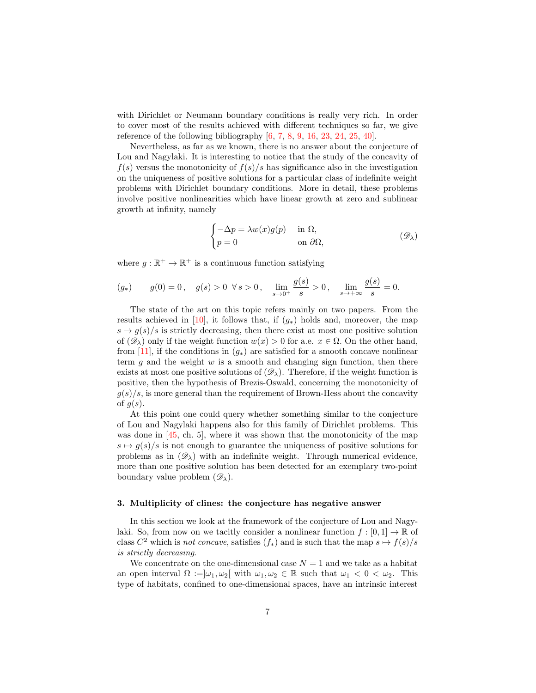with Dirichlet or Neumann boundary conditions is really very rich. In order to cover most of the results achieved with different techniques so far, we give reference of the following bibliography  $[6, 7, 8, 9, 16, 23, 24, 25, 40]$  $[6, 7, 8, 9, 16, 23, 24, 25, 40]$  $[6, 7, 8, 9, 16, 23, 24, 25, 40]$  $[6, 7, 8, 9, 16, 23, 24, 25, 40]$  $[6, 7, 8, 9, 16, 23, 24, 25, 40]$  $[6, 7, 8, 9, 16, 23, 24, 25, 40]$  $[6, 7, 8, 9, 16, 23, 24, 25, 40]$  $[6, 7, 8, 9, 16, 23, 24, 25, 40]$  $[6, 7, 8, 9, 16, 23, 24, 25, 40]$  $[6, 7, 8, 9, 16, 23, 24, 25, 40]$  $[6, 7, 8, 9, 16, 23, 24, 25, 40]$  $[6, 7, 8, 9, 16, 23, 24, 25, 40]$  $[6, 7, 8, 9, 16, 23, 24, 25, 40]$  $[6, 7, 8, 9, 16, 23, 24, 25, 40]$  $[6, 7, 8, 9, 16, 23, 24, 25, 40]$  $[6, 7, 8, 9, 16, 23, 24, 25, 40]$ .

Nevertheless, as far as we known, there is no answer about the conjecture of Lou and Nagylaki. It is interesting to notice that the study of the concavity of  $f(s)$  versus the monotonicity of  $f(s)/s$  has significance also in the investigation on the uniqueness of positive solutions for a particular class of indefinite weight problems with Dirichlet boundary conditions. More in detail, these problems involve positive nonlinearities which have linear growth at zero and sublinear growth at infinity, namely

$$
\begin{cases}\n-\Delta p = \lambda w(x)g(p) & \text{in } \Omega, \\
p = 0 & \text{on } \partial\Omega,\n\end{cases} (D\mathcal{D})
$$

where  $g : \mathbb{R}^+ \to \mathbb{R}^+$  is a continuous function satisfying

$$
(g_*) \t g(0) = 0, \t g(s) > 0 \t \forall s > 0, \t \lim_{s \to 0^+} \frac{g(s)}{s} > 0, \t \lim_{s \to +\infty} \frac{g(s)}{s} = 0.
$$

The state of the art on this topic refers mainly on two papers. From the results achieved in [\[10\]](#page-15-8), it follows that, if  $(g_*)$  holds and, moreover, the map  $s \to g(s)/s$  is strictly decreasing, then there exist at most one positive solution of  $(\mathscr{D}_\lambda)$  only if the weight function  $w(x) > 0$  for a.e.  $x \in \Omega$ . On the other hand, from [\[11\]](#page-15-5), if the conditions in  $(g_*)$  are satisfied for a smooth concave nonlinear term g and the weight  $w$  is a smooth and changing sign function, then there exists at most one positive solutions of  $(\mathscr{D}_{\lambda})$ . Therefore, if the weight function is positive, then the hypothesis of Brezis-Oswald, concerning the monotonicity of  $g(s)/s$ , is more general than the requirement of Brown-Hess about the concavity of  $g(s)$ .

At this point one could query whether something similar to the conjecture of Lou and Nagylaki happens also for this family of Dirichlet problems. This was done in [\[45,](#page-17-4) ch. 5], where it was shown that the monotonicity of the map  $s \mapsto q(s)/s$  is not enough to guarantee the uniqueness of positive solutions for problems as in  $(\mathscr{D}_{\lambda})$  with an indefinite weight. Through numerical evidence, more than one positive solution has been detected for an exemplary two-point boundary value problem  $(\mathscr{D}_{\lambda})$ .

#### <span id="page-6-0"></span>3. Multiplicity of clines: the conjecture has negative answer

In this section we look at the framework of the conjecture of Lou and Nagylaki. So, from now on we tacitly consider a nonlinear function  $f : [0, 1] \to \mathbb{R}$  of class  $C^2$  which is *not concave*, satisfies  $(f_*)$  and is such that the map  $s \mapsto f(s)/s$ is strictly decreasing.

We concentrate on the one-dimensional case  $N = 1$  and we take as a habitat an open interval  $\Omega := |\omega_1, \omega_2|$  with  $\omega_1, \omega_2 \in \mathbb{R}$  such that  $\omega_1 < 0 < \omega_2$ . This type of habitats, confined to one-dimensional spaces, have an intrinsic interest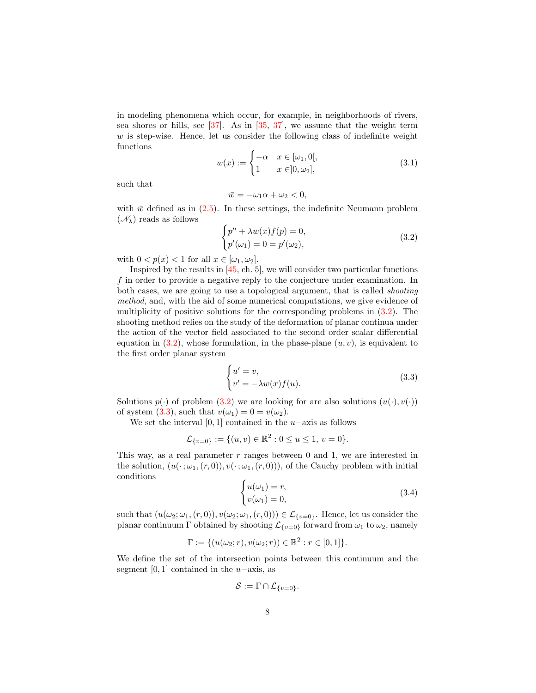in modeling phenomena which occur, for example, in neighborhoods of rivers, sea shores or hills, see  $[37]$  $[37]$ . As in  $[35, 37]$ , we assume that the weight term  $w$  is step-wise. Hence, let us consider the following class of indefinite weight functions

<span id="page-7-3"></span>
$$
w(x) := \begin{cases} -\alpha & x \in [\omega_1, 0[, \\ 1 & x \in ]0, \omega_2], \end{cases}
$$
 (3.1)

such that

$$
\bar{w} = -\omega_1 \alpha + \omega_2 < 0,
$$

with  $\bar{w}$  defined as in [\(2.5\)](#page-4-1). In these settings, the indefinite Neumann problem  $(\mathcal{N}_{\lambda})$  reads as follows

<span id="page-7-0"></span>
$$
\begin{cases} p'' + \lambda w(x)f(p) = 0, \\ p'(\omega_1) = 0 = p'(\omega_2), \end{cases}
$$
\n(3.2)

with  $0 < p(x) < 1$  for all  $x \in [\omega_1, \omega_2]$ .

Inspired by the results in [\[45,](#page-17-4) ch. 5], we will consider two particular functions f in order to provide a negative reply to the conjecture under examination. In both cases, we are going to use a topological argument, that is called shooting method, and, with the aid of some numerical computations, we give evidence of multiplicity of positive solutions for the corresponding problems in [\(3.2\)](#page-7-0). The shooting method relies on the study of the deformation of planar continua under the action of the vector field associated to the second order scalar differential equation in  $(3.2)$ , whose formulation, in the phase-plane  $(u, v)$ , is equivalent to the first order planar system

<span id="page-7-1"></span>
$$
\begin{cases} u' = v, \\ v' = -\lambda w(x)f(u). \end{cases}
$$
 (3.3)

Solutions  $p(\cdot)$  of problem [\(3.2\)](#page-7-0) we are looking for are also solutions  $(u(\cdot), v(\cdot))$ of system [\(3.3\)](#page-7-1), such that  $v(\omega_1) = 0 = v(\omega_2)$ .

We set the interval [0, 1] contained in the  $u$ –axis as follows

$$
\mathcal{L}_{\{v=0\}} := \{(u,v) \in \mathbb{R}^2 : 0 \le u \le 1, v = 0\}.
$$

This way, as a real parameter  $r$  ranges between 0 and 1, we are interested in the solution,  $(u(\cdot;\omega_1,(r,0)), v(\cdot;\omega_1,(r,0)))$ , of the Cauchy problem with initial conditions

<span id="page-7-2"></span>
$$
\begin{cases}\n u(\omega_1) = r, \\
 v(\omega_1) = 0,\n\end{cases} \n\tag{3.4}
$$

such that  $(u(\omega_2; \omega_1, (r, 0)), v(\omega_2; \omega_1, (r, 0))) \in \mathcal{L}_{\{v=0\}}$ . Hence, let us consider the planar continuum Γ obtained by shooting  $\mathcal{L}_{\{v=0\}}$  forward from  $\omega_1$  to  $\omega_2$ , namely

$$
\Gamma := \{ (u(\omega_2; r), v(\omega_2; r)) \in \mathbb{R}^2 : r \in [0, 1] \}.
$$

We define the set of the intersection points between this continuum and the segment [0, 1] contained in the  $u$ −axis, as

$$
\mathcal{S}:=\Gamma\cap\mathcal{L}_{\{v=0\}}.
$$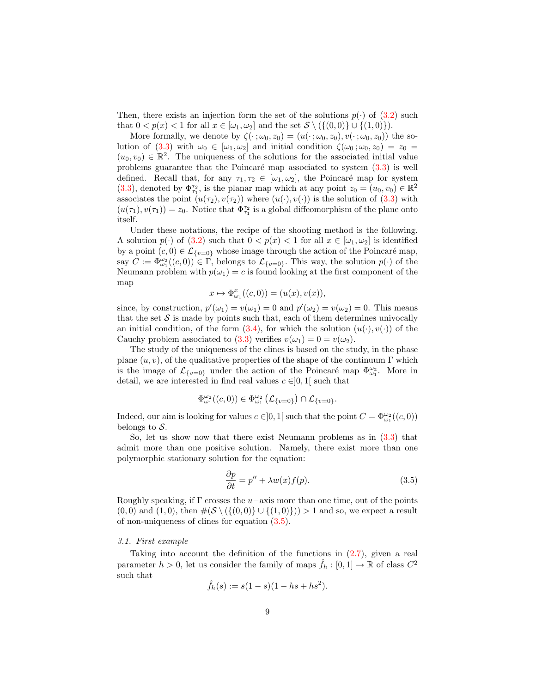Then, there exists an injection form the set of the solutions  $p(\cdot)$  of  $(3.2)$  such that  $0 < p(x) < 1$  for all  $x \in [\omega_1, \omega_2]$  and the set  $S \setminus (\{(0,0)\} \cup \{(1,0)\})$ .

More formally, we denote by  $\zeta(\cdot;\omega_0,z_0)=(u(\cdot;\omega_0,z_0),v(\cdot;\omega_0,z_0))$  the so-lution of [\(3.3\)](#page-7-1) with  $\omega_0 \in [\omega_1, \omega_2]$  and initial condition  $\zeta(\omega_0; \omega_0, z_0) = z_0 =$  $(u_0, v_0) \in \mathbb{R}^2$ . The uniqueness of the solutions for the associated initial value problems guarantee that the Poincaré map associated to system  $(3.3)$  is well defined. Recall that, for any  $\tau_1, \tau_2 \in [\omega_1, \omega_2]$ , the Poincaré map for system [\(3.3\)](#page-7-1), denoted by  $\Phi_{\tau_1}^{\tau_2}$ , is the planar map which at any point  $z_0 = (u_0, v_0) \in \mathbb{R}^2$ associates the point  $(u(\tau_2), v(\tau_2))$  where  $(u(\cdot), v(\cdot))$  is the solution of  $(3.3)$  with  $(u(\tau_1), v(\tau_1)) = z_0$ . Notice that  $\Phi_{\tau_1}^{\tau_2}$  is a global diffeomorphism of the plane onto itself.

Under these notations, the recipe of the shooting method is the following. A solution  $p(\cdot)$  of [\(3.2\)](#page-7-0) such that  $0 < p(x) < 1$  for all  $x \in [\omega_1, \omega_2]$  is identified by a point  $(c, 0) \in \mathcal{L}_{\{v=0\}}$  whose image through the action of the Poincaré map, say  $C := \Phi_{\omega_1}^{\omega_2}((c, 0)) \in \Gamma$ , belongs to  $\mathcal{L}_{\{v=0\}}$ . This way, the solution  $p(\cdot)$  of the Neumann problem with  $p(\omega_1) = c$  is found looking at the first component of the map

$$
x \mapsto \Phi_{\omega_1}^x((c,0)) = (u(x), v(x)),
$$

since, by construction,  $p'(\omega_1) = v(\omega_1) = 0$  and  $p'(\omega_2) = v(\omega_2) = 0$ . This means that the set  $S$  is made by points such that, each of them determines univocally an initial condition, of the form  $(3.4)$ , for which the solution  $(u(\cdot), v(\cdot))$  of the Cauchy problem associated to [\(3.3\)](#page-7-1) verifies  $v(\omega_1) = 0 = v(\omega_2)$ .

The study of the uniqueness of the clines is based on the study, in the phase plane  $(u, v)$ , of the qualitative properties of the shape of the continuum Γ which is the image of  $\mathcal{L}_{\{v=0\}}$  under the action of the Poincaré map  $\Phi_{\omega_1}^{\omega_2}$ . More in detail, we are interested in find real values  $c \in ]0,1[$  such that

$$
\Phi_{\omega_1}^{\omega_2}((c,0))\in\Phi_{\omega_1}^{\omega_2}\left(\mathcal{L}_{\{v=0\}}\right)\cap\mathcal{L}_{\{v=0\}}.
$$

Indeed, our aim is looking for values  $c \in ]0,1[$  such that the point  $C = \Phi_{\omega_1}^{\omega_2}((c, 0))$ belongs to  $S$ .

So, let us show now that there exist Neumann problems as in [\(3.3\)](#page-7-1) that admit more than one positive solution. Namely, there exist more than one polymorphic stationary solution for the equation:

<span id="page-8-0"></span>
$$
\frac{\partial p}{\partial t} = p'' + \lambda w(x) f(p). \tag{3.5}
$$

Roughly speaking, if  $\Gamma$  crosses the u–axis more than one time, out of the points  $(0, 0)$  and  $(1, 0)$ , then  $\#(\mathcal{S} \setminus (\{(0, 0)\} \cup \{(1, 0)\})) > 1$  and so, we expect a result of non-uniqueness of clines for equation [\(3.5\)](#page-8-0).

## 3.1. First example

Taking into account the definition of the functions in  $(2.7)$ , given a real parameter  $h > 0$ , let us consider the family of maps  $\hat{f}_h : [0, 1] \to \mathbb{R}$  of class  $C^2$ such that

$$
\hat{f}_h(s) := s(1-s)(1-hs+hs^2).
$$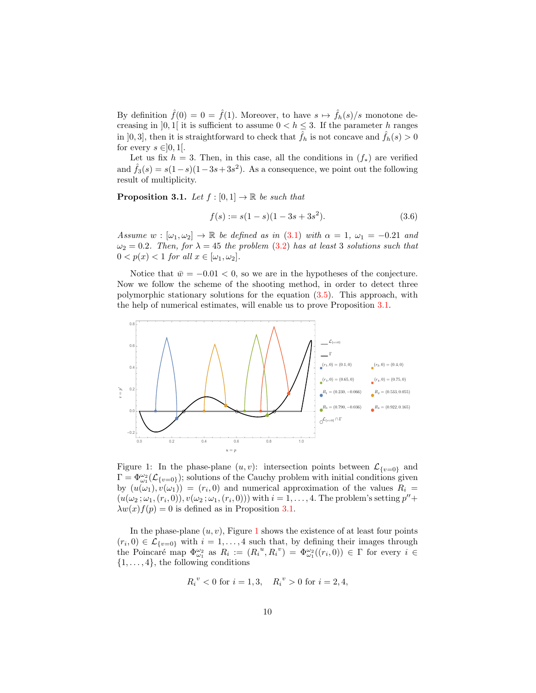By definition  $\hat{f}(0) = 0 = \hat{f}(1)$ . Moreover, to have  $s \mapsto \hat{f}_h(s)/s$  monotone decreasing in [0, 1] it is sufficient to assume  $0 < h \leq 3$ . If the parameter h ranges in [0, 3], then it is straightforward to check that  $\hat{f}_h$  is not concave and  $\hat{f}_h(s) > 0$ for every  $s \in ]0,1[$ .

Let us fix  $h = 3$ . Then, in this case, all the conditions in  $(f_*)$  are verified and  $\hat{f}_3(s) = s(1-s)(1-3s+3s^2)$ . As a consequence, we point out the following result of multiplicity.

<span id="page-9-0"></span>**Proposition 3.1.** Let  $f : [0,1] \to \mathbb{R}$  be such that

<span id="page-9-2"></span>
$$
f(s) := s(1 - s)(1 - 3s + 3s^2). \tag{3.6}
$$

Assume  $w : [\omega_1, \omega_2] \to \mathbb{R}$  be defined as in [\(3.1\)](#page-7-3) with  $\alpha = 1, \omega_1 = -0.21$  and  $\omega_2 = 0.2$ . Then, for  $\lambda = 45$  the problem [\(3.2\)](#page-7-0) has at least 3 solutions such that  $0 < p(x) < 1$  for all  $x \in [\omega_1, \omega_2]$ .

Notice that  $\bar{w} = -0.01 < 0$ , so we are in the hypotheses of the conjecture. Now we follow the scheme of the shooting method, in order to detect three polymorphic stationary solutions for the equation [\(3.5\)](#page-8-0). This approach, with the help of numerical estimates, will enable us to prove Proposition [3.1.](#page-9-0)

<span id="page-9-1"></span>

Figure 1: In the phase-plane  $(u, v)$ : intersection points between  $\mathcal{L}_{\{v=0\}}$  and  $\Gamma = \Phi_{\omega_1}^{\omega_2}(\mathcal{L}_{\{v=0\}});$  solutions of the Cauchy problem with initial conditions given by  $(u(\omega_1), v(\omega_1)) = (r_i, 0)$  and numerical approximation of the values  $R_i =$  $(u(\omega_2;\omega_1,(r_i,0)), v(\omega_2;\omega_1,(r_i,0)))$  with  $i=1,\ldots,4$ . The problem's setting  $p'' +$  $\lambda w(x) f(p) = 0$  is defined as in Proposition [3.1.](#page-9-0)

In the phase-plane  $(u, v)$ , Figure [1](#page-9-1) shows the existence of at least four points  $(r_i, 0) \in \mathcal{L}_{\{v=0\}}$  with  $i = 1, ..., 4$  such that, by defining their images through the Poincaré map  $\Phi_{\omega_1}^{\omega_2}$  as  $R_i := (R_i^u, R_i^v) = \Phi_{\omega_1}^{\omega_2}((r_i, 0)) \in \Gamma$  for every  $i \in$  $\{1, \ldots, 4\}$ , the following conditions

$$
R_i^v < 0
$$
 for  $i = 1, 3$ ,  $R_i^v > 0$  for  $i = 2, 4$ ,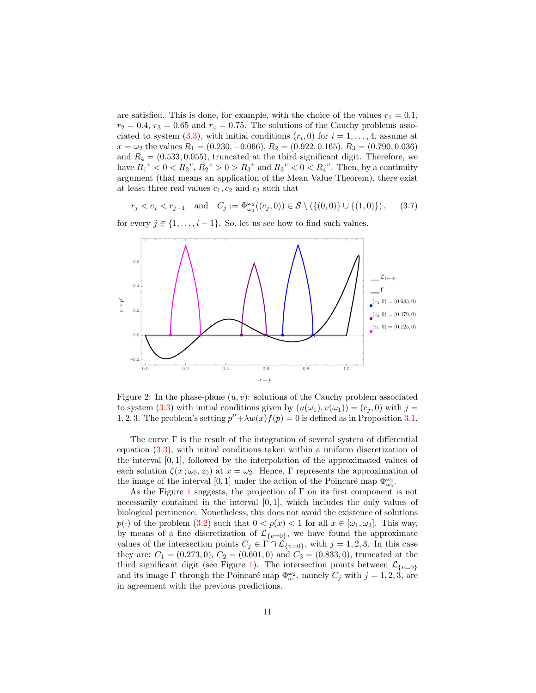are satisfied. This is done, for example, with the choice of the values  $r_1 = 0.1$ ,  $r_2 = 0.4$ ,  $r_3 = 0.65$  and  $r_4 = 0.75$ . The solutions of the Cauchy problems asso-ciated to system [\(3.3\)](#page-7-1), with initial conditions  $(r_i, 0)$  for  $i = 1, ..., 4$ , assume at  $x = \omega_2$  the values  $R_1 = (0.230, -0.066), R_2 = (0.922, 0.165), R_3 = (0.790, 0.036)$ and  $R_4 = (0.533, 0.055)$ , truncated at the third significant digit. Therefore, we have  $R_1^{\nu} < 0 < R_2^{\nu}, R_2^{\nu} > 0 > R_3^{\nu}$  and  $R_3^{\nu} < 0 < R_4^{\nu}$ . Then, by a continuity argument (that means an application of the Mean Value Theorem), there exist at least three real values  $c_1, c_2$  and  $c_3$  such that

<span id="page-10-0"></span>
$$
r_j < c_j < r_{j+1} \quad \text{and} \quad C_j := \Phi_{\omega_1}^{\omega_2}((c_j, 0)) \in \mathcal{S} \setminus (\{(0, 0)\} \cup \{(1, 0)\}), \tag{3.7}
$$

for every  $j \in \{1, \ldots, i-1\}$ . So, let us see how to find such values.

<span id="page-10-1"></span>

Figure 2: In the phase-plane  $(u, v)$ : solutions of the Cauchy problem associated to system [\(3.3\)](#page-7-1) with initial conditions given by  $(u(\omega_1), v(\omega_1)) = (c_j, 0)$  with  $j =$ 1, 2, 3. The problem's setting  $p'' + \lambda w(x)f(p) = 0$  is defined as in Proposition [3.1.](#page-9-0)

The curve  $\Gamma$  is the result of the integration of several system of differential equation [\(3.3\)](#page-7-1), with initial conditions taken within a uniform discretization of the interval [0, 1], followed by the interpolation of the approximated values of each solution  $\zeta(x;\omega_0,z_0)$  at  $x=\omega_2$ . Hence, Γ represents the approximation of the image of the interval [0,1] under the action of the Poincaré map  $\Phi^{\omega_2}_{\omega_1}$ .

As the Figure [1](#page-9-1) suggests, the projection of  $\Gamma$  on its first component is not necessarily contained in the interval [0, 1], which includes the only values of biological pertinence. Nonetheless, this does not avoid the existence of solutions  $p(\cdot)$  of the problem [\(3.2\)](#page-7-0) such that  $0 < p(x) < 1$  for all  $x \in [\omega_1, \omega_2]$ . This way, by means of a fine discretization of  $\mathcal{L}_{\{v=0\}}$ , we have found the approximate values of the intersection points  $C_j \in \Gamma \cap \mathcal{L}_{\{v=0\}}$ , with  $j = 1, 2, 3$ . In this case they are:  $C_1 = (0.273, 0), C_2 = (0.601, 0)$  and  $C_3 = (0.833, 0),$  truncated at the third significant digit (see Figure [1\)](#page-9-1). The intersection points between  $\mathcal{L}_{\{v=0\}}$ and its image  $\Gamma$  through the Poincaré map  $\Phi_{\omega_1}^{\omega_2}$ , namely  $C_j$  with  $j = 1, 2, 3$ , are in agreement with the previous predictions.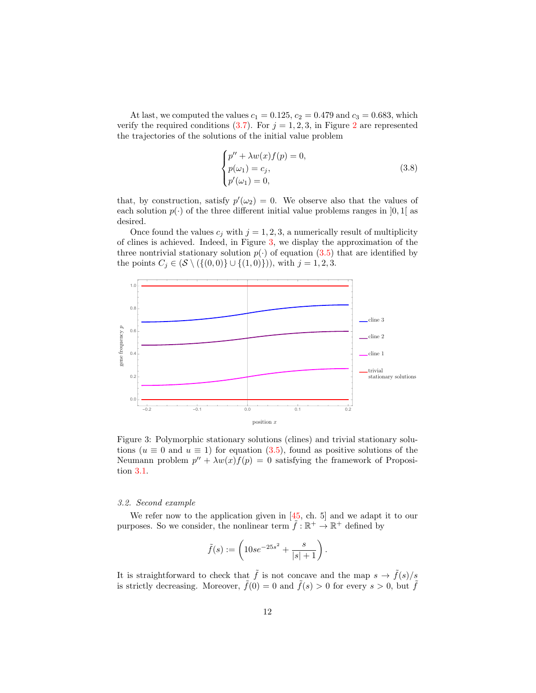At last, we computed the values  $c_1 = 0.125$ ,  $c_2 = 0.479$  and  $c_3 = 0.683$ , which verify the required conditions [\(3.7\)](#page-10-0). For  $j = 1, 2, 3$  $j = 1, 2, 3$  $j = 1, 2, 3$ , in Figure 2 are represented the trajectories of the solutions of the initial value problem

<span id="page-11-1"></span>
$$
\begin{cases}\np'' + \lambda w(x)f(p) = 0, \\
p(\omega_1) = c_j, \\
p'(\omega_1) = 0,\n\end{cases}
$$
\n(3.8)

that, by construction, satisfy  $p'(\omega_2) = 0$ . We observe also that the values of each solution  $p(\cdot)$  of the three different initial value problems ranges in [0, 1] as desired.

Once found the values  $c_j$  with  $j = 1, 2, 3$ , a numerically result of multiplicity of clines is achieved. Indeed, in Figure [3,](#page-11-0) we display the approximation of the three nontrivial stationary solution  $p(\cdot)$  of equation [\(3.5\)](#page-8-0) that are identified by the points  $C_j \in (\mathcal{S} \setminus (\{(0,0)\} \cup \{(1,0)\}))$ , with  $j = 1, 2, 3$ .

<span id="page-11-0"></span>

Figure 3: Polymorphic stationary solutions (clines) and trivial stationary solutions ( $u \equiv 0$  and  $u \equiv 1$ ) for equation [\(3.5\)](#page-8-0), found as positive solutions of the Neumann problem  $p'' + \lambda w(x)f(p) = 0$  satisfying the framework of Proposition [3.1.](#page-9-0)

#### 3.2. Second example

We refer now to the application given in  $[45, ch. 5]$  and we adapt it to our purposes. So we consider, the nonlinear term  $\tilde{f} : \mathbb{R}^+ \to \mathbb{R}^+$  defined by

$$
\tilde{f}(s) := \left(10se^{-25s^2} + \frac{s}{|s|+1}\right).
$$

It is straightforward to check that  $\tilde{f}$  is not concave and the map  $s \to \tilde{f}(s)/s$ is strictly decreasing. Moreover,  $\tilde{f}(0) = 0$  and  $\tilde{f}(s) > 0$  for every  $s > 0$ , but  $\tilde{f}$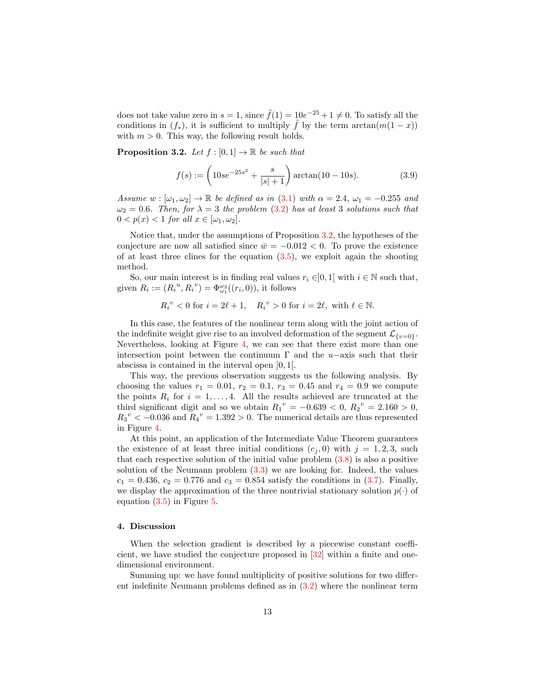does not take value zero in  $s = 1$ , since  $\tilde{f}(1) = 10e^{-25} + 1 \neq 0$ . To satisfy all the conditions in  $(f_*)$ , it is sufficient to multiply  $\tilde{f}$  by the term  $\arctan(m(1-x))$ with  $m > 0$ . This way, the following result holds.

<span id="page-12-1"></span>**Proposition 3.2.** Let  $f : [0, 1] \rightarrow \mathbb{R}$  be such that

<span id="page-12-2"></span>
$$
f(s) := \left(10se^{-25s^2} + \frac{s}{|s|+1}\right) \arctan(10-10s). \tag{3.9}
$$

Assume  $w : [\omega_1, \omega_2] \to \mathbb{R}$  be defined as in [\(3.1\)](#page-7-3) with  $\alpha = 2.4$ ,  $\omega_1 = -0.255$  and  $\omega_2 = 0.6$ . Then, for  $\lambda = 3$  the problem [\(3.2\)](#page-7-0) has at least 3 solutions such that  $0 < p(x) < 1$  for all  $x \in [\omega_1, \omega_2]$ .

Notice that, under the assumptions of Proposition [3.2,](#page-12-1) the hypotheses of the conjecture are now all satisfied since  $\bar{w} = -0.012 < 0$ . To prove the existence of at least three clines for the equation  $(3.5)$ , we exploit again the shooting method.

So, our main interest is in finding real values  $r_i \in ]0,1[$  with  $i \in \mathbb{N}$  such that, given  $R_i := (R_i^u, R_i^v) = \Phi_{\omega_1}^{\omega_2}((r_i, 0)),$  it follows

$$
R_i^{\ v} < 0 \text{ for } i = 2\ell + 1, \quad R_i^{\ v} > 0 \text{ for } i = 2\ell, \text{ with } \ell \in \mathbb{N}.
$$

In this case, the features of the nonlinear term along with the joint action of the indefinite weight give rise to an involved deformation of the segment  $\mathcal{L}_{\{v=0\}}$ . Nevertheless, looking at Figure [4,](#page-13-0) we can see that there exist more than one intersection point between the continuum  $\Gamma$  and the u−axis such that their abscissa is contained in the interval open ]0, 1[.

This way, the previous observation suggests us the following analysis. By choosing the values  $r_1 = 0.01$ ,  $r_2 = 0.1$ ,  $r_3 = 0.45$  and  $r_4 = 0.9$  we compute the points  $R_i$  for  $i = 1, \ldots, 4$ . All the results achieved are truncated at the third significant digit and so we obtain  $R_1^{\nu} = -0.639 < 0, R_2^{\nu} = 2.160 > 0,$  $R_3^{\nu} < -0.036$  and  $R_4^{\nu} = 1.392 > 0$ . The numerical details are thus represented in Figure [4.](#page-13-0)

At this point, an application of the Intermediate Value Theorem guarantees the existence of at least three initial conditions  $(c_i, 0)$  with  $j = 1, 2, 3$ , such that each respective solution of the initial value problem  $(3.8)$  is also a positive solution of the Neumann problem  $(3.3)$  we are looking for. Indeed, the values  $c_1 = 0.436, c_2 = 0.776$  and  $c_3 = 0.854$  satisfy the conditions in  $(3.7)$ . Finally, we display the approximation of the three nontrivial stationary solution  $p(\cdot)$  of equation [\(3.5\)](#page-8-0) in Figure [5.](#page-14-5)

#### <span id="page-12-0"></span>4. Discussion

When the selection gradient is described by a piecewise constant coefficient, we have studied the conjecture proposed in [\[32\]](#page-16-7) within a finite and onedimensional environment.

Summing up: we have found multiplicity of positive solutions for two different indefinite Neumann problems defined as in [\(3.2\)](#page-7-0) where the nonlinear term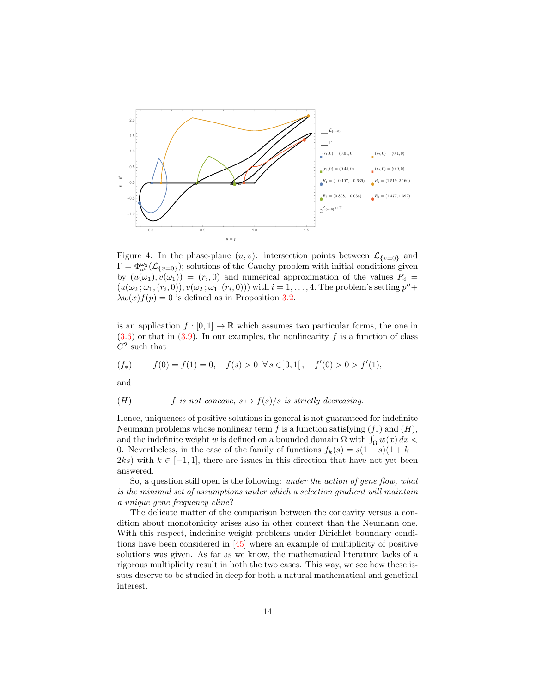<span id="page-13-0"></span>

Figure 4: In the phase-plane  $(u, v)$ : intersection points between  $\mathcal{L}_{\{v=0\}}$  and  $\Gamma = \Phi_{\omega_1}^{\omega_2}(\mathcal{L}_{\{v=0\}});$  solutions of the Cauchy problem with initial conditions given by  $(u(\omega_1), v(\omega_1)) = (r_i, 0)$  and numerical approximation of the values  $R_i =$  $(u(\omega_2;\omega_1,(r_i,0)), v(\omega_2;\omega_1,(r_i,0)))$  with  $i=1,\ldots,4$ . The problem's setting  $p'' +$  $\lambda w(x) f(p) = 0$  is defined as in Proposition [3.2.](#page-12-1)

is an application  $f : [0, 1] \to \mathbb{R}$  which assumes two particular forms, the one in  $(3.6)$  or that in  $(3.9)$ . In our examples, the nonlinearity f is a function of class  $C^2$  such that

$$
(f_*) \t f(0) = f(1) = 0, \t f(s) > 0 \forall s \in ]0,1[, \t f'(0) > 0 > f'(1),
$$

and

(H) *f* is not concave, 
$$
s \mapsto f(s)/s
$$
 is strictly decreasing.

Hence, uniqueness of positive solutions in general is not guaranteed for indefinite Neumann problems whose nonlinear term f is a function satisfying  $(f_*)$  and  $(H)$ , and the indefinite weight  $w$  is defined on a bounded domain  $\Omega$  with  $\int_{\Omega} w(x) dx <$ 0. Nevertheless, in the case of the family of functions  $f_k(s) = s(1-s)(1 + k -$ 2ks) with  $k \in [-1, 1]$ , there are issues in this direction that have not yet been answered.

So, a question still open is the following: *under the action of gene flow, what* is the minimal set of assumptions under which a selection gradient will maintain a unique gene frequency cline?

The delicate matter of the comparison between the concavity versus a condition about monotonicity arises also in other context than the Neumann one. With this respect, indefinite weight problems under Dirichlet boundary conditions have been considered in [\[45\]](#page-17-4) where an example of multiplicity of positive solutions was given. As far as we know, the mathematical literature lacks of a rigorous multiplicity result in both the two cases. This way, we see how these issues deserve to be studied in deep for both a natural mathematical and genetical interest.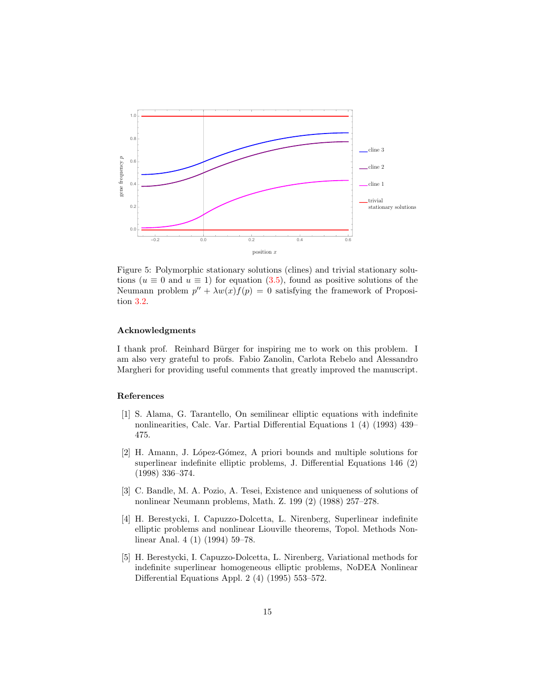<span id="page-14-5"></span>

Figure 5: Polymorphic stationary solutions (clines) and trivial stationary solutions ( $u \equiv 0$  and  $u \equiv 1$ ) for equation [\(3.5\)](#page-8-0), found as positive solutions of the Neumann problem  $p'' + \lambda w(x)f(p) = 0$  satisfying the framework of Proposition [3.2.](#page-12-1)

## Acknowledgments

I thank prof. Reinhard Bürger for inspiring me to work on this problem. I am also very grateful to profs. Fabio Zanolin, Carlota Rebelo and Alessandro Margheri for providing useful comments that greatly improved the manuscript.

#### References

- <span id="page-14-1"></span>[1] S. Alama, G. Tarantello, On semilinear elliptic equations with indefinite nonlinearities, Calc. Var. Partial Differential Equations 1 (4) (1993) 439– 475.
- <span id="page-14-2"></span>[2] H. Amann, J. López-Gómez, A priori bounds and multiple solutions for superlinear indefinite elliptic problems, J. Differential Equations 146 (2) (1998) 336–374.
- <span id="page-14-0"></span>[3] C. Bandle, M. A. Pozio, A. Tesei, Existence and uniqueness of solutions of nonlinear Neumann problems, Math. Z. 199 (2) (1988) 257–278.
- <span id="page-14-3"></span>[4] H. Berestycki, I. Capuzzo-Dolcetta, L. Nirenberg, Superlinear indefinite elliptic problems and nonlinear Liouville theorems, Topol. Methods Nonlinear Anal. 4 (1) (1994) 59–78.
- <span id="page-14-4"></span>[5] H. Berestycki, I. Capuzzo-Dolcetta, L. Nirenberg, Variational methods for indefinite superlinear homogeneous elliptic problems, NoDEA Nonlinear Differential Equations Appl. 2 (4) (1995) 553–572.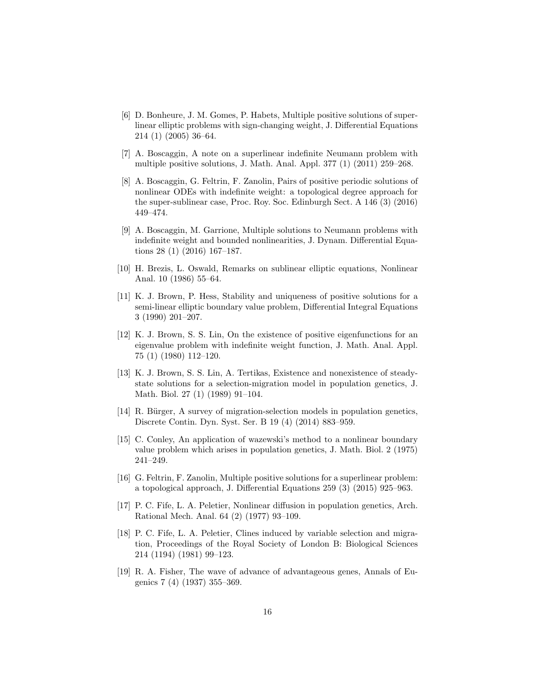- <span id="page-15-9"></span>[6] D. Bonheure, J. M. Gomes, P. Habets, Multiple positive solutions of superlinear elliptic problems with sign-changing weight, J. Differential Equations 214 (1) (2005) 36–64.
- <span id="page-15-10"></span>[7] A. Boscaggin, A note on a superlinear indefinite Neumann problem with multiple positive solutions, J. Math. Anal. Appl. 377 (1) (2011) 259–268.
- <span id="page-15-11"></span>[8] A. Boscaggin, G. Feltrin, F. Zanolin, Pairs of positive periodic solutions of nonlinear ODEs with indefinite weight: a topological degree approach for the super-sublinear case, Proc. Roy. Soc. Edinburgh Sect. A 146 (3) (2016) 449–474.
- <span id="page-15-12"></span>[9] A. Boscaggin, M. Garrione, Multiple solutions to Neumann problems with indefinite weight and bounded nonlinearities, J. Dynam. Differential Equations 28 (1) (2016) 167–187.
- <span id="page-15-8"></span>[10] H. Brezis, L. Oswald, Remarks on sublinear elliptic equations, Nonlinear Anal. 10 (1986) 55–64.
- <span id="page-15-5"></span>[11] K. J. Brown, P. Hess, Stability and uniqueness of positive solutions for a semi-linear elliptic boundary value problem, Differential Integral Equations 3 (1990) 201–207.
- <span id="page-15-4"></span>[12] K. J. Brown, S. S. Lin, On the existence of positive eigenfunctions for an eigenvalue problem with indefinite weight function, J. Math. Anal. Appl. 75 (1) (1980) 112–120.
- <span id="page-15-6"></span>[13] K. J. Brown, S. S. Lin, A. Tertikas, Existence and nonexistence of steadystate solutions for a selection-migration model in population genetics, J. Math. Biol. 27 (1) (1989) 91–104.
- <span id="page-15-0"></span>[14] R. Bürger, A survey of migration-selection models in population genetics, Discrete Contin. Dyn. Syst. Ser. B 19 (4) (2014) 883–959.
- <span id="page-15-2"></span>[15] C. Conley, An application of wazewski's method to a nonlinear boundary value problem which arises in population genetics, J. Math. Biol. 2 (1975) 241–249.
- <span id="page-15-13"></span>[16] G. Feltrin, F. Zanolin, Multiple positive solutions for a superlinear problem: a topological approach, J. Differential Equations 259 (3) (2015) 925–963.
- <span id="page-15-3"></span>[17] P. C. Fife, L. A. Peletier, Nonlinear diffusion in population genetics, Arch. Rational Mech. Anal. 64 (2) (1977) 93–109.
- <span id="page-15-7"></span>[18] P. C. Fife, L. A. Peletier, Clines induced by variable selection and migration, Proceedings of the Royal Society of London B: Biological Sciences 214 (1194) (1981) 99–123.
- <span id="page-15-1"></span>[19] R. A. Fisher, The wave of advance of advantageous genes, Annals of Eugenics 7 (4) (1937) 355–369.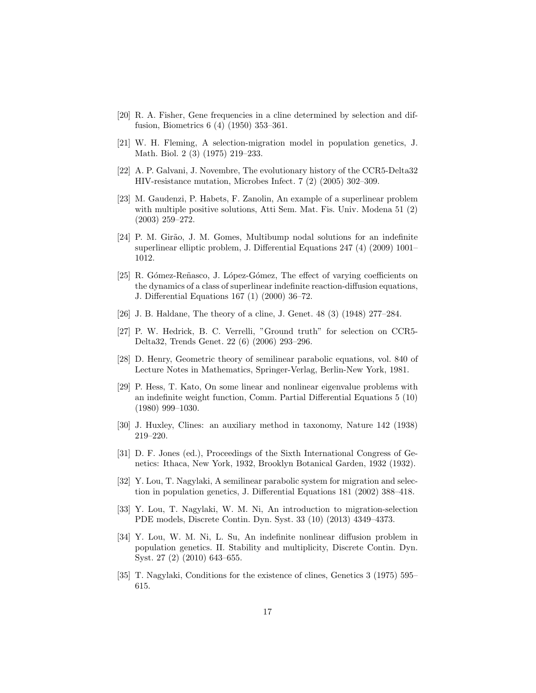- <span id="page-16-3"></span>[20] R. A. Fisher, Gene frequencies in a cline determined by selection and diffusion, Biometrics 6 (4) (1950) 353–361.
- <span id="page-16-5"></span>[21] W. H. Fleming, A selection-migration model in population genetics, J. Math. Biol. 2 (3) (1975) 219–233.
- [22] A. P. Galvani, J. Novembre, The evolutionary history of the CCR5-Delta32 HIV-resistance mutation, Microbes Infect. 7 (2) (2005) 302–309.
- <span id="page-16-11"></span>[23] M. Gaudenzi, P. Habets, F. Zanolin, An example of a superlinear problem with multiple positive solutions, Atti Sem. Mat. Fis. Univ. Modena 51 (2) (2003) 259–272.
- <span id="page-16-12"></span>[24] P. M. Girão, J. M. Gomes, Multibump nodal solutions for an indefinite superlinear elliptic problem, J. Differential Equations 247 (4) (2009) 1001– 1012.
- <span id="page-16-13"></span>[25] R. Gómez-Reñasco, J. López-Gómez, The effect of varying coefficients on the dynamics of a class of superlinear indefinite reaction-diffusion equations, J. Differential Equations 167 (1) (2000) 36–72.
- <span id="page-16-2"></span>[26] J. B. Haldane, The theory of a cline, J. Genet. 48 (3) (1948) 277–284.
- [27] P. W. Hedrick, B. C. Verrelli, "Ground truth" for selection on CCR5- Delta32, Trends Genet. 22 (6) (2006) 293–296.
- <span id="page-16-6"></span>[28] D. Henry, Geometric theory of semilinear parabolic equations, vol. 840 of Lecture Notes in Mathematics, Springer-Verlag, Berlin-New York, 1981.
- <span id="page-16-10"></span>[29] P. Hess, T. Kato, On some linear and nonlinear eigenvalue problems with an indefinite weight function, Comm. Partial Differential Equations 5 (10) (1980) 999–1030.
- <span id="page-16-1"></span>[30] J. Huxley, Clines: an auxiliary method in taxonomy, Nature 142 (1938) 219–220.
- <span id="page-16-0"></span>[31] D. F. Jones (ed.), Proceedings of the Sixth International Congress of Genetics: Ithaca, New York, 1932, Brooklyn Botanical Garden, 1932 (1932).
- <span id="page-16-7"></span>[32] Y. Lou, T. Nagylaki, A semilinear parabolic system for migration and selection in population genetics, J. Differential Equations 181 (2002) 388–418.
- <span id="page-16-9"></span>[33] Y. Lou, T. Nagylaki, W. M. Ni, An introduction to migration-selection PDE models, Discrete Contin. Dyn. Syst. 33 (10) (2013) 4349–4373.
- <span id="page-16-8"></span>[34] Y. Lou, W. M. Ni, L. Su, An indefinite nonlinear diffusion problem in population genetics. II. Stability and multiplicity, Discrete Contin. Dyn. Syst. 27 (2) (2010) 643–655.
- <span id="page-16-4"></span>[35] T. Nagylaki, Conditions for the existence of clines, Genetics 3 (1975) 595– 615.